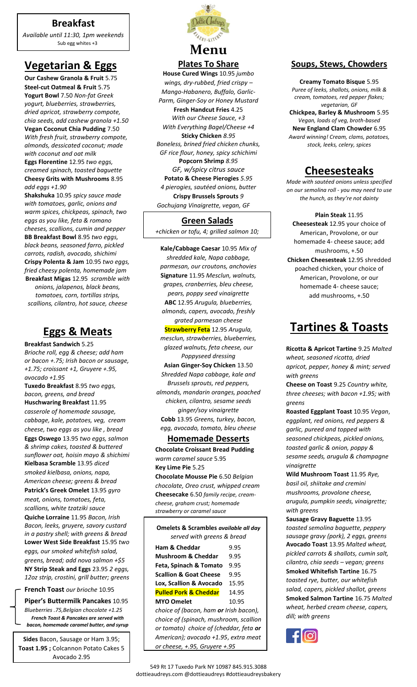## **Breakfast**

*Available until 11:30, 1pm weekends* Sub egg whites +3

# **Vegetarian & Eggs**

**Our Cashew Granola & Fruit** 5.75 **Steel-cut Oatmeal & Fruit** 5.75 **Yogurt Bowl** 7.50 *Non-fat Greek yogurt, blueberries, strawberries, dried apricot, strawberry compote, chia seeds, add cashew granola +1.50* **Vegan Coconut Chia Pudding** 7.50 *With fresh fruit, strawberry compote, almonds, dessicated coconut; made with coconut and oat milk*

**Eggs Florentine** 12.95 *two eggs, creamed spinach, toasted baguette* **Cheesy Grits with Mushrooms** 8.95 *add eggs +1.90*

**Shakshuka** 10.95 *spicy sauce made with tomatoes, garlic, onions and warm spices, chickpeas, spinach, two eggs as you like, feta & romano cheeses, scallions, cumin and pepper* **BB Breakfast Bowl** 8.95 *two eggs, black beans, seasoned farro, pickled carrots, radish, avocado, shichimi* **Crispy Polenta & Jam** 10.95 *two eggs, fried cheesy polenta, homemade jam* **Breakfast Migas** 12.95 *scramble with onions, jalapenos, black beans, tomatoes, corn, tortillas strips, scallions, cilantro, hot sauce, cheese*

# **Eggs & Meats**

**Breakfast Sandwich** 5.25 *Brioche roll, egg & cheese; add ham or bacon +.75; Irish bacon or sausage, +1.75; croissant +1, Gruyere +.95, avocado +1.95* **Tuxedo Breakfast** 8.95 *two eggs, bacon, greens, and bread* **Huschwaring Breakfast** 11.95 *casserole of homemade sausage, cabbage, kale, potatoes, veg, cream cheese, two eggs as you like , bread* **Eggs Oswego** 13.95 *two eggs, salmon & shrimp cakes, toasted & buttered sunflower oat, hoisin mayo & shichimi* **Kielbasa Scramble** 13.95 *diced smoked kielbasa, onions, napa, American cheese; greens & bread* **Patrick's Greek Omelet** 13.95 *gyro meat, onions, tomatoes, feta, scallions, white tzatziki sauce* **Quiche Lorraine** 11.95 *Bacon, Irish Bacon, leeks, gruyere, savory custard in a pastry shell; with greens & bread* **Lower West Side Breakfast** 15.95 *two eggs, our smoked whitefish salad, greens, bread; add nova salmon +\$5* **NY Strip Steak and Eggs** 23.95 *2 eggs, 12oz strip, crostini, grill butter; greens*

### **French Toast** *our brioche* 10.95

**Piper's Buttermilk Pancakes** 10.95 *Blueberries .75,Belgian chocolate +1.25 French Toast & Pancakes are served with bacon, homemade caramel butter, and syrup*

**Sides** Bacon, Sausage or Ham 3.95; **Toast 1.95 ;** Colcannon Potato Cakes 5 Avocado 2.95



**Plates To Share**

**House Cured Wings** 10.95 *jumbo wings, dry-rubbed, fried crispy – Mango-Habanero, Buffalo, Garlic-Parm, Ginger-Soy or Honey Mustard* **Fresh Handcut Fries** 4.25 *With our Cheese Sauce, +3 With Everything Bagel/Cheese +4* **Sticky Chicken** *8.95 Boneless, brined fried chicken chunks, GF rice flour, honey, spicy schichimi* **Popcorn Shrimp** *8.95 GF, w/spicy citrus sauce* **Potato & Cheese Pierogies** *5.95 4 pierogies, sautéed onions, butter* **Crispy Brussels Sprouts** *9 Gochujang Vinaigrette, vegan, GF*

### **Green Salads**

*+chicken or tofu, 4; grilled salmon 10;*

**Kale/Cabbage Caesar** 10.95 *Mix of shredded kale, Napa cabbage, parmesan, our croutons, anchovies* **Signature** 11.95 *Mesclun, walnuts, grapes, cranberries, bleu cheese, pears, poppy seed vinaigrette* **ABC** 12.95 *Arugula, blueberries, almonds, capers, avocado, freshly grated parmesan cheese* **Strawberry Feta** 12.95 *Arugula, mesclun, strawberries, blueberries, glazed walnuts, feta cheese, our Poppyseed dressing* **Asian Ginger-Soy Chicken** 13.50 *Shredded Napa cabbage, kale and Brussels sprouts, red peppers, almonds, mandarin oranges, poached chicken, cilantro, sesame seeds ginger/soy vinaigrette* **Cobb** 13.95 *Greens, turkey, bacon, egg, avocado, tomato, bleu cheese* 

### **Homemade Desserts**

**Chocolate Croissant Bread Pudding**  *warm caramel sauce* 5.95 **Key Lime Pie** 5.25 **Chocolate Mousse Pie** 6.50 *Belgian chocolate, Oreo crust, whipped cream* **Cheesecake** 6.50 *family recipe, creamcheese, graham crust; homemade* 

*strawberry or caramel sauce*

| Omelets & Scrambles available all day         |       |
|-----------------------------------------------|-------|
| served with greens & bread                    |       |
| <b>Ham &amp; Cheddar</b>                      | 9.95  |
| <b>Mushroom &amp; Cheddar</b>                 | 9.95  |
| Feta, Spinach & Tomato                        | 9.95  |
| <b>Scallion &amp; Goat Cheese</b>             | 9.95  |
| Lox, Scallion & Avocado                       | 15.95 |
| <b>Pulled Pork &amp; Cheddar</b>              | 14.95 |
| <b>MYO Omelet</b>                             | 10.95 |
| choice of (bacon, ham <b>or</b> Irish bacon), |       |
|                                               |       |

*choice of (spinach, mushroom, scallion or tomato) choice of (cheddar, feta or American); avocado +1.95*, *extra meat or cheese, +.95, Gruyere +.95*

### **Soups, Stews, Chowders**

**Creamy Tomato Bisque** 5.95 *Puree of leeks, shallots, onions, milk & cream, tomatoes, red pepper flakes; vegetarian, GF* **Chickpea, Barley & Mushroom** 5.95 *Vegan, loads of veg, broth-based* **New England Clam Chowder** 6.95 *Award winning! Cream, clams, potatoes, stock, leeks, celery, spices*

## **Cheesesteaks**

*Made with sautéed onions unless specified on our semolina roll - you may need to use the hunch, as they're not dainty*

**Plain Steak** 11.95 **Cheesesteak** 12.95 your choice of American, Provolone, or our homemade 4- cheese sauce; add mushrooms, +.50 **Chicken Cheesesteak** 12.95 shredded poached chicken, your choice of American, Provolone, or our homemade 4- cheese sauce; add mushrooms, +.50

# **Tartines & Toasts**

**Ricotta & Apricot Tartine** 9.25 *Malted wheat, seasoned ricotta, dried apricot, pepper, honey & mint; served with greens*

**Cheese on Toast** 9.25 *Country white, three cheeses; with bacon +1.95; with greens*

**Roasted Eggplant Toast** 10.95 *Vegan*, *eggplant, red onions, red peppers & garlic, pureed and topped with seasoned chickpeas, pickled onions, toasted garlic & onion, poppy & sesame seeds, arugula & champagne vinaigrette*

**Wild Mushroom Toast** 11.95 *Rye, basil oil, shiitake and cremini mushrooms, provolone cheese, arugula, pumpkin seeds, vinaigrette; with greens*

**Sausage Gravy Baguette** 13.95 *toasted semolina baguette, peppery sausage gravy (pork), 2 eggs, greens* **Avocado Toast** 13.95 *Malted wheat, pickled carrots & shallots, cumin salt, cilantro, chia seeds – vegan; greens* **Smoked Whitefish Tartine** 16.75 *toasted rye, butter, our whitefish salad, capers, pickled shallot, greens* **Smoked Salmon Tartine** 16.75 *Malted wheat, herbed cream cheese, capers, dill; with greens*